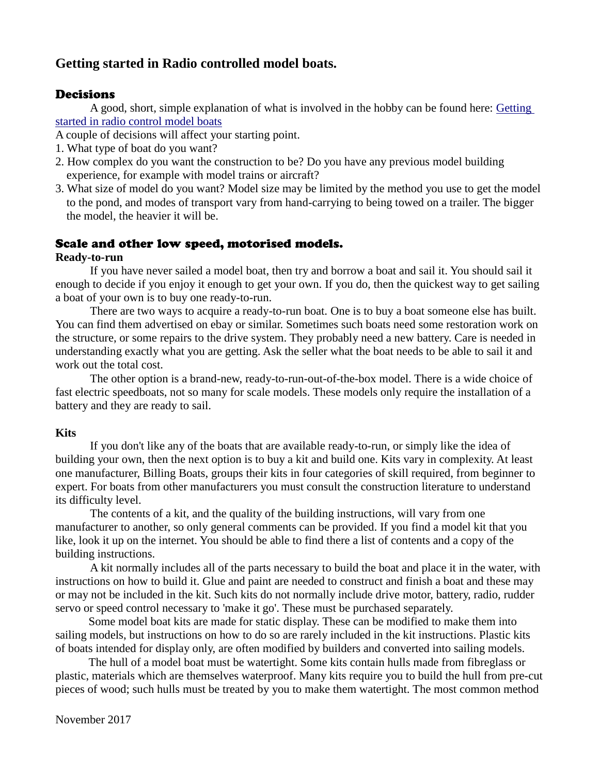# **Getting started in Radio controlled model boats.**

# **Decisions**

A good, short, simple explanation of what is involved in the hobby can be found here: [Getting](https://www.greathobbies.com/beginners/rcboats/)  [started in radio control model boats](https://www.greathobbies.com/beginners/rcboats/)

A couple of decisions will affect your starting point.

- 1. What type of boat do you want?
- 2. How complex do you want the construction to be? Do you have any previous model building experience, for example with model trains or aircraft?
- 3. What size of model do you want? Model size may be limited by the method you use to get the model to the pond, and modes of transport vary from hand-carrying to being towed on a trailer. The bigger the model, the heavier it will be.

# Scale and other low speed, motorised models.

### **Ready-to-run**

If you have never sailed a model boat, then try and borrow a boat and sail it. You should sail it enough to decide if you enjoy it enough to get your own. If you do, then the quickest way to get sailing a boat of your own is to buy one ready-to-run.

There are two ways to acquire a ready-to-run boat. One is to buy a boat someone else has built. You can find them advertised on ebay or similar. Sometimes such boats need some restoration work on the structure, or some repairs to the drive system. They probably need a new battery. Care is needed in understanding exactly what you are getting. Ask the seller what the boat needs to be able to sail it and work out the total cost.

The other option is a brand-new, ready-to-run-out-of-the-box model. There is a wide choice of fast electric speedboats, not so many for scale models. These models only require the installation of a battery and they are ready to sail.

## **Kits**

If you don't like any of the boats that are available ready-to-run, or simply like the idea of building your own, then the next option is to buy a kit and build one. Kits vary in complexity. At least one manufacturer, Billing Boats, groups their kits in four categories of skill required, from beginner to expert. For boats from other manufacturers you must consult the construction literature to understand its difficulty level.

The contents of a kit, and the quality of the building instructions, will vary from one manufacturer to another, so only general comments can be provided. If you find a model kit that you like, look it up on the internet. You should be able to find there a list of contents and a copy of the building instructions.

A kit normally includes all of the parts necessary to build the boat and place it in the water, with instructions on how to build it. Glue and paint are needed to construct and finish a boat and these may or may not be included in the kit. Such kits do not normally include drive motor, battery, radio, rudder servo or speed control necessary to 'make it go'. These must be purchased separately.

Some model boat kits are made for static display. These can be modified to make them into sailing models, but instructions on how to do so are rarely included in the kit instructions. Plastic kits of boats intended for display only, are often modified by builders and converted into sailing models.

The hull of a model boat must be watertight. Some kits contain hulls made from fibreglass or plastic, materials which are themselves waterproof. Many kits require you to build the hull from pre-cut pieces of wood; such hulls must be treated by you to make them watertight. The most common method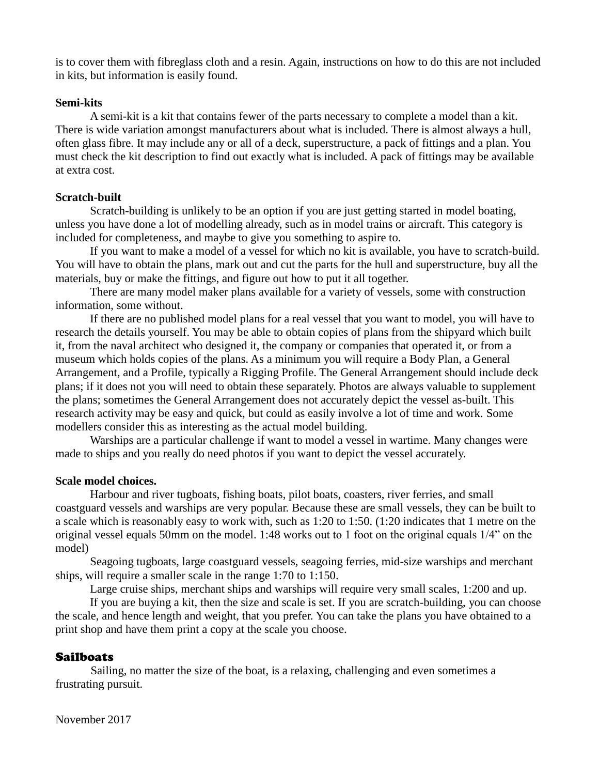is to cover them with fibreglass cloth and a resin. Again, instructions on how to do this are not included in kits, but information is easily found.

#### **Semi-kits**

A semi-kit is a kit that contains fewer of the parts necessary to complete a model than a kit. There is wide variation amongst manufacturers about what is included. There is almost always a hull, often glass fibre. It may include any or all of a deck, superstructure, a pack of fittings and a plan. You must check the kit description to find out exactly what is included. A pack of fittings may be available at extra cost.

#### **Scratch-built**

Scratch-building is unlikely to be an option if you are just getting started in model boating, unless you have done a lot of modelling already, such as in model trains or aircraft. This category is included for completeness, and maybe to give you something to aspire to.

If you want to make a model of a vessel for which no kit is available, you have to scratch-build. You will have to obtain the plans, mark out and cut the parts for the hull and superstructure, buy all the materials, buy or make the fittings, and figure out how to put it all together.

There are many model maker plans available for a variety of vessels, some with construction information, some without.

If there are no published model plans for a real vessel that you want to model, you will have to research the details yourself. You may be able to obtain copies of plans from the shipyard which built it, from the naval architect who designed it, the company or companies that operated it, or from a museum which holds copies of the plans. As a minimum you will require a Body Plan, a General Arrangement, and a Profile, typically a Rigging Profile. The General Arrangement should include deck plans; if it does not you will need to obtain these separately. Photos are always valuable to supplement the plans; sometimes the General Arrangement does not accurately depict the vessel as-built. This research activity may be easy and quick, but could as easily involve a lot of time and work. Some modellers consider this as interesting as the actual model building.

Warships are a particular challenge if want to model a vessel in wartime. Many changes were made to ships and you really do need photos if you want to depict the vessel accurately.

#### **Scale model choices.**

Harbour and river tugboats, fishing boats, pilot boats, coasters, river ferries, and small coastguard vessels and warships are very popular. Because these are small vessels, they can be built to a scale which is reasonably easy to work with, such as 1:20 to 1:50. (1:20 indicates that 1 metre on the original vessel equals 50mm on the model. 1:48 works out to 1 foot on the original equals 1/4" on the model)

Seagoing tugboats, large coastguard vessels, seagoing ferries, mid-size warships and merchant ships, will require a smaller scale in the range 1:70 to 1:150.

Large cruise ships, merchant ships and warships will require very small scales, 1:200 and up.

If you are buying a kit, then the size and scale is set. If you are scratch-building, you can choose the scale, and hence length and weight, that you prefer. You can take the plans you have obtained to a print shop and have them print a copy at the scale you choose.

## **Sailboats**

Sailing, no matter the size of the boat, is a relaxing, challenging and even sometimes a frustrating pursuit.